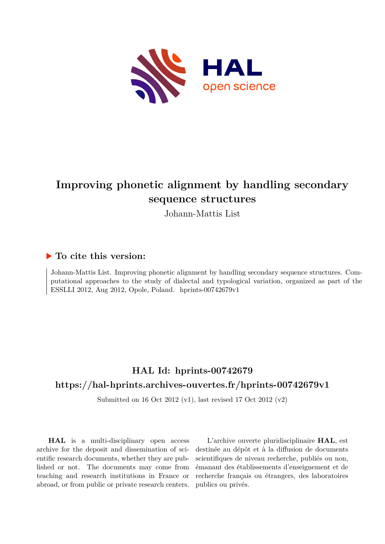

## **Improving phonetic alignment by handling secondary sequence structures**

Johann-Mattis List

### **To cite this version:**

Johann-Mattis List. Improving phonetic alignment by handling secondary sequence structures. Computational approaches to the study of dialectal and typological variation, organized as part of the ESSLLI 2012, Aug 2012, Opole, Poland. hprints-00742679v1

## **HAL Id: hprints-00742679 <https://hal-hprints.archives-ouvertes.fr/hprints-00742679v1>**

Submitted on 16 Oct 2012 (v1), last revised 17 Oct 2012 (v2)

**HAL** is a multi-disciplinary open access archive for the deposit and dissemination of scientific research documents, whether they are published or not. The documents may come from teaching and research institutions in France or abroad, or from public or private research centers.

L'archive ouverte pluridisciplinaire **HAL**, est destinée au dépôt et à la diffusion de documents scientifiques de niveau recherche, publiés ou non, émanant des établissements d'enseignement et de recherche français ou étrangers, des laboratoires publics ou privés.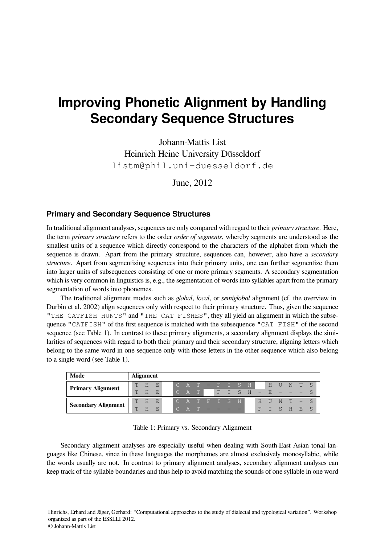# **Improving Phonetic Alignment by Handling Secondary Sequence Structures**

Johann-Mattis List Heinrich Heine University Düsseldorf <listm@phil.uni-duesseldorf.de>

June, 2012

#### **Primary and Secondary Sequence Structures**

In traditional alignment analyses, sequences are only compared with regard to their *primary structure*. Here, the term *primary structure* refers to the order *order of segments*, whereby segments are understood as the smallest units of a sequence which directly correspond to the characters of the alphabet from which the sequence is drawn. Apart from the primary structure, sequences can, however, also have a *secondary structure*. Apart from segmentizing sequences into their primary units, one can further segmentize them into larger units of subsequences consisting of one or more primary segments. A secondary segmentation which is very common in linguistics is, e.g., the segmentation of words into syllables apart from the primary segmentation of words into phonemes.

The traditional alignment modes such as *global*, *local*, or *semiglobal* alignment (cf. the overview in Durbin et al. [2002\)](#page-5-0) align sequences only with respect to their primary structure. Thus, given the sequence "THE CATFISH HUNTS" and "THE CAT FISHES", they all yield an alignment in which the subsequence "CATFISH" of the first sequence is matched with the subsequence "CAT FISH" of the second sequence (see Table [1\)](#page-1-0). In contrast to these primary alignments, a secondary alignment displays the similarities of sequences with regard to both their primary and their secondary structure, aligning letters which belong to the same word in one sequence only with those letters in the other sequence which also belong to a single word (see Table [1\)](#page-1-0).

| Mode                       |    | <b>Alignment</b> |                                 |  |                                                |  |  |             |   |            |    |                             |        |   |
|----------------------------|----|------------------|---------------------------------|--|------------------------------------------------|--|--|-------------|---|------------|----|-----------------------------|--------|---|
|                            |    | T H E            |                                 |  | ICAT – FISH                                    |  |  |             |   | H U        |    | N                           | T      | S |
| <b>Primary Alignment</b>   | T  | H                | $-$ FP                          |  | $\begin{array}{ccc} \circ & A & T \end{array}$ |  |  | $F I S H -$ |   | $\sqrt{R}$ |    |                             |        |   |
| <b>Secondary Alignment</b> |    | T H E            |                                 |  | ICATĒISHI                                      |  |  |             |   | $H$ $II$   |    | N T                         | $\sim$ |   |
|                            | T. | H                | $-$ F <sub><math>-</math></sub> |  | C A T                                          |  |  |             | F |            | S. | $-$ H $\blacktriangleright$ | E.     |   |

<span id="page-1-0"></span>

| Table 1: Primary vs. Secondary Alignment |  |  |
|------------------------------------------|--|--|
|------------------------------------------|--|--|

Secondary alignment analyses are especially useful when dealing with South-East Asian tonal languages like Chinese, since in these languages the morphemes are almost exclusively monosyllabic, while the words usually are not. In contrast to primary alignment analyses, secondary alignment analyses can keep track of the syllable boundaries and thus help to avoid matching the sounds of one syllable in one word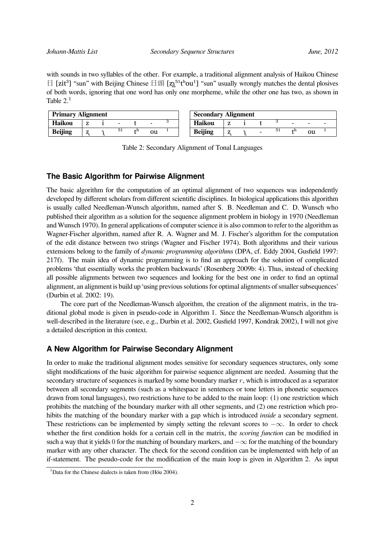with sounds in two syllables of the other. For example, a traditional alignment analysis of Haikou Chinese  $\Box$  [zit<sup>3</sup>] "sun" with Beijing Chinese  $\Box$ 頭 [ $z_1^{51}$ thou<sup>1</sup>] "sun" usually wrongly matches the dental plosives of both words, ignoring that one word has only one morpheme, while the other one has two, as shown in Table  $2<sup>1</sup>$  $2<sup>1</sup>$  $2<sup>1</sup>$ 

| <b>Primary Alignment</b> |  |  |     |       |               | <b>Secondary Alignment</b>       |  |
|--------------------------|--|--|-----|-------|---------------|----------------------------------|--|
| Haikou                   |  |  | -   |       |               | <b>Haikou</b><br>-               |  |
| <b>Beijing</b>           |  |  | -51 | - 4-ն | <sub>ou</sub> | 51<br><b>Beijing</b><br>÷п<br>ou |  |

<span id="page-2-0"></span>Table 2: Secondary Alignment of Tonal Languages

#### **The Basic Algorithm for Pairwise Alignment**

The basic algorithm for the computation of an optimal alignment of two sequences was independently developed by different scholars from different scientific disciplines. In biological applications this algorithm is usually called Needleman-Wunsch algorithm, named after S. B. Needleman and C. D. Wunsch who published their algorithm as a solution for the sequence alignment problem in biology in 1970 (Needleman and Wunsch [1970\)](#page-5-1). In general applications of computer science it is also common to refer to the algorithm as Wagner-Fischer algorithm, named after R. A. Wagner and M. J. Fischer's algorithm for the computation of the edit distance between two strings (Wagner and Fischer [1974\)](#page-5-2). Both algorithms and their various extensions belong to the family of *dynamic programming algorithms* (DPA, cf. Eddy [2004](#page-5-3), Gusfield [1997](#page-5-4): 217f). The main idea of dynamic programming is to find an approach for the solution of complicated problems 'that essentially works the problem backwards' (Rosenberg [2009](#page-5-5)b: 4). Thus, instead of checking all possible alignments between two sequences and looking for the best one in order to find an optimal alignment, an alignment is build up 'using previous solutions for optimal alignments of smaller subsequences' (Durbin et al. [2002:](#page-5-0) 19).

The core part of the Needleman-Wunsch algorithm, the creation of the alignment matrix, in the traditional global mode is given in pseudo-code in Algorithm [1](#page-3-0). Since the Needleman-Wunsch algorithm is well-described in the literature (see, e.g., Durbin et al. [2002,](#page-5-0) Gusfield [1997](#page-5-4), Kondrak [2002](#page-5-6)), I will not give a detailed description in this context.

#### **A New Algorithm for Pairwise Secondary Alignment**

In order to make the traditional alignment modes sensitive for secondary sequences structures, only some slight modifications of the basic algorithm for pairwise sequence alignment are needed. Assuming that the secondary structure of sequences is marked by some boundary marker  $r$ , which is introduced as a separator between all secondary segments (such as a whitespace in sentences or tone letters in phonetic sequences drawn from tonal languages), two restrictions have to be added to the main loop: (1) one restriction which prohibits the matching of the boundary marker with all other segments, and (2) one restriction which prohibits the matching of the boundary marker with a gap which is introduced *inside* a secondary segment. These restrictions can be implemented by simply setting the relevant scores to  $-\infty$ . In order to check whether the first condition holds for a certain cell in the matrix, the *scoring function* can be modified in such a way that it yields 0 for the matching of boundary markers, and  $-\infty$  for the matching of the boundary marker with any other character. The check for the second condition can be implemented with help of an if-statement. The pseudo-code for the modification of the main loop is given in Algorithm [2](#page-4-0). As input

<span id="page-2-1"></span><sup>&</sup>lt;sup>1</sup>Data for the Chinese dialects is taken from (Hóu [2004\)](#page-5-7).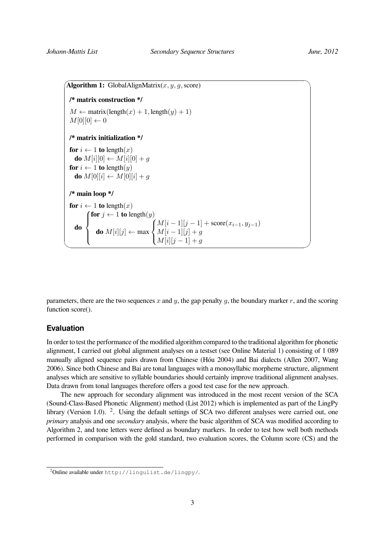```
\widehat{Algorithm 1: GlobalAlignMatrix(x, y, g, \text{score})✒
/* matrix construction */
M \leftarrow matrix(length(x) + 1, length(y) + 1)
 M[0][0] \leftarrow 0/* matrix initialization */
for i \leftarrow 1 to length(x)do M[i][0] \leftarrow M[i][0] + gfor i \leftarrow 1 to length(y)do M[0][i] \leftarrow M[0][i] + q/* main loop */
for i \leftarrow 1 to length(x)do
        for j \leftarrow 1 to length(y)\int\overline{\mathcal{L}}do M[i][j] \leftarrow \max\sqrt{ }\int\mathcal{L}M[i-1][j-1] + \text{score}(x_{i-1}, y_{j-1})M[i-1][j]+gM[i][j - 1] + g
```
parameters, there are the two sequences x and y, the gap penalty q, the boundary marker  $r$ , and the scoring function score().

#### **Evaluation**

In order to test the performance of the modified algorithm compared to the traditional algorithm for phonetic alignment, I carried out global alignment analyses on a testset (see Online Material 1) consisting of 1 089 manually aligned sequence pairs drawn from Chinese (Hóu [2004\)](#page-5-7) and Bai dialects (Allen [2007,](#page-5-8) Wang [2006\)](#page-5-9). Since both Chinese and Bai are tonal languages with a monosyllabic morpheme structure, alignment analyses which are sensitive to syllable boundaries should certainly improve traditional alignment analyses. Data drawn from tonal languages therefore offers a good test case for the new approach.

The new approach for secondary alignment was introduced in the most recent version of the SCA (Sound-Class-Based Phonetic Alignment) method (List [2012](#page-5-10)) which is implemented as part of the LingPy library (Version 1.0). <sup>[2](#page-3-1)</sup>. Using the default settings of SCA two different analyses were carried out, one *primary* analysis and one *secondary* analysis, where the basic algorithm of SCA was modified according to Algorithm [2,](#page-4-0) and tone letters were defined as boundary markers. In order to test how well both methods performed in comparison with the gold standard, two evaluation scores, the Column score (CS) and the

<span id="page-3-1"></span><sup>2</sup>Online available under <http://lingulist.de/lingpy/>.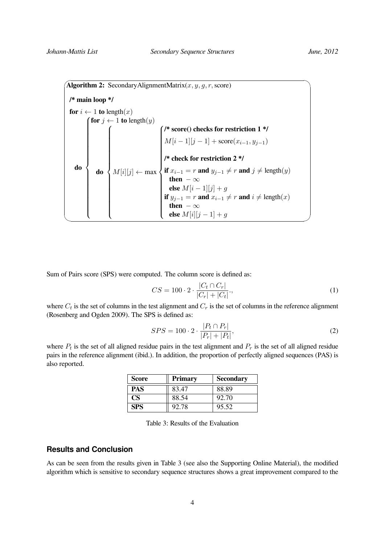<span id="page-4-0"></span> $\widehat{A}$ **Algorithm 2:** SecondaryAlignmentMatrix $(x, y, g, r, \text{score})$  $\searrow$ **/\* main loop \*/ for**  $i \leftarrow 1$  **to** length $(x)$  $\frac{1}{40}$ **for**  $j \leftarrow 1$  **to** length $(y)$  $\begin{array}{c} \begin{array}{c} \begin{array}{c} \begin{array}{c} \end{array} \\ \end{array} \end{array} \end{array}$  $\begin{array}{c} \begin{array}{c} \begin{array}{c} \begin{array}{c} \end{array} \\ \end{array} \\ \begin{array}{c} \end{array} \end{array} \end{array}$ **do**  $\sqrt{ }$  $\begin{array}{c} \hline \end{array}$  $\begin{array}{c} \hline \end{array}$  $M[i][j] \leftarrow \max$  **/\* score() checks for restriction 1 \*/**  $\begin{array}{c} \hline \end{array}$  $\begin{array}{c} \begin{array}{c} \begin{array}{c} \begin{array}{c} \end{array} \\ \end{array} \end{array} \end{array}$  $M[i-1][j-1] + \text{score}(x_{i-1}, y_{j-1})$ **/\* check for restriction 2 \*/ if**  $x_{i-1} = r$  **and**  $y_{j-1} \neq r$  **and**  $j \neq \text{length}(y)$ **then**  $-\infty$ **else**  $M[i-1][j]+g$ **if**  $y_{j-1} = r$  **and**  $x_{i-1} \neq r$  **and**  $i \neq \text{length}(x)$ **then**  $-\infty$ **else**  $M[i][j - 1] + g$ 

Sum of Pairs score (SPS) were computed. The column score is defined as:

$$
CS = 100 \cdot 2 \cdot \frac{|C_t \cap C_r|}{|C_r| + |C_t|},\tag{1}
$$

where  $C_t$  is the set of columns in the test alignment and  $C_r$  is the set of columns in the reference alignment (Rosenberg and Ogden [2009](#page-5-11)). The SPS is defined as:

$$
SPS = 100 \cdot 2 \cdot \frac{|P_t \cap P_r|}{|P_r| + |P_t|},\tag{2}
$$

where  $P_t$  is the set of all aligned residue pairs in the test alignment and  $P_r$  is the set of all aligned residue pairs in the reference alignment([ibid.\)](#page-5-11). In addition, the proportion of perfectly aligned sequences (PAS) is also reported.

| Score     | <b>Primary</b> | <b>Secondary</b> |
|-----------|----------------|------------------|
| PAS       | 83.47          | 88.89            |
| <b>CS</b> | 88.54          | 92.70            |
| SPS       | 92.78          | 95.52            |

<span id="page-4-1"></span>Table 3: Results of the Evaluation

#### **Results and Conclusion**

As can be seen from the results given in Table  $3$  (see also the Supporting Online Material), the modified algorithm which is sensitive to secondary sequence structures shows a great improvement compared to the